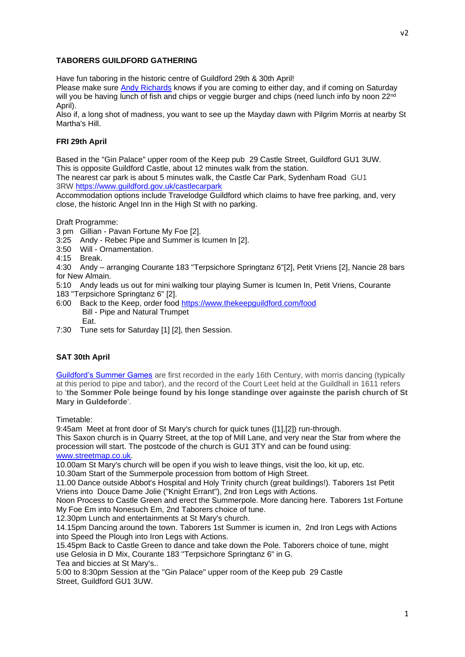## **TABORERS GUILDFORD GATHERING**

Have fun taboring in the historic centre of Guildford 29th & 30th April!

Please make sure [Andy Richards](http://www.pipeandtabor.org/contact/) knows if you are coming to either day, and if coming on Saturday will you be having lunch of fish and chips or veggie burger and chips (need lunch info by noon 22<sup>nd</sup> April).

Also if, a long shot of madness, you want to see up the Mayday dawn with Pilgrim Morris at nearby St Martha's Hill.

## **FRI 29th April**

Based in the "Gin Palace" upper room of the Keep pub 29 Castle Street, Guildford GU1 3UW. This is opposite Guildford Castle, about 12 minutes walk from the station.

The nearest car park is about 5 minutes walk, the Castle Car Park, Sydenham Road GU1 3RW <https://www.guildford.gov.uk/castlecarpark>

Accommodation options include Travelodge Guildford which claims to have free parking, and, very close, the historic Angel Inn in the High St with no parking.

Draft Programme:

- 3 pm Gillian Pavan Fortune My Foe [2].
- 3:25 Andy Rebec Pipe and Summer is Icumen In [2].
- 3:50 Will Ornamentation.
- 4:15 Break.

4:30 Andy – arranging Courante 183 "Terpsichore Springtanz 6"[2], Petit Vriens [2], Nancie 28 bars for New Almain.

- 5:10 Andy leads us out for mini walking tour playing Sumer is Icumen In, Petit Vriens, Courante
- 183 "Terpsichore Springtanz 6" [2].
- 6:00 Back to the Keep, order food <https://www.thekeepguildford.com/food> Bill - Pipe and Natural Trumpet Eat.
- 7:30 Tune sets for Saturday [1] [2], then Session.

## **SAT 30th April**

[Guildford's Summer Games](https://www.pilgrimmorrismen.org.uk/summerpole/) are first recorded in the early 16th Century, with morris dancing (typically at this period to pipe and tabor), and the record of the Court Leet held at the Guildhall in 1611 refers to '**the Sommer Pole beinge found by his longe standinge over againste the parish church of St Mary in Guldeforde**'.

Timetable:

9:45am Meet at front door of St Mary's church for quick tunes ([1],[2]) run-through.

This Saxon church is in Quarry Street, at the top of Mill Lane, and very near the Star from where the procession will start. The postcode of the church is GU1 3TY and can be found using:

[www.streetmap.co.uk.](http://www.streetmap.co.uk/)

10.00am St Mary's church will be open if you wish to leave things, visit the loo, kit up, etc.

10.30am Start of the Summerpole procession from bottom of High Street.

11.00 Dance outside Abbot's Hospital and Holy Trinity church (great buildings!). Taborers 1st Petit Vriens into Douce Dame Jolie ("Knight Errant"), 2nd Iron Legs with Actions.

Noon Process to Castle Green and erect the Summerpole. More dancing here. Taborers 1st Fortune My Foe Em into Nonesuch Em, 2nd Taborers choice of tune.

12.30pm Lunch and entertainments at St Mary's church.

14.15pm Dancing around the town. Taborers 1st Summer is icumen in, 2nd Iron Legs with Actions into Speed the Plough into Iron Legs with Actions.

15.45pm Back to Castle Green to dance and take down the Pole. Taborers choice of tune, might use Gelosia in D Mix, Courante 183 "Terpsichore Springtanz 6" in G.

Tea and biccies at St Mary's..

5:00 to 8:30pm Session at the "Gin Palace" upper room of the Keep pub 29 Castle Street, Guildford GU1 3UW.